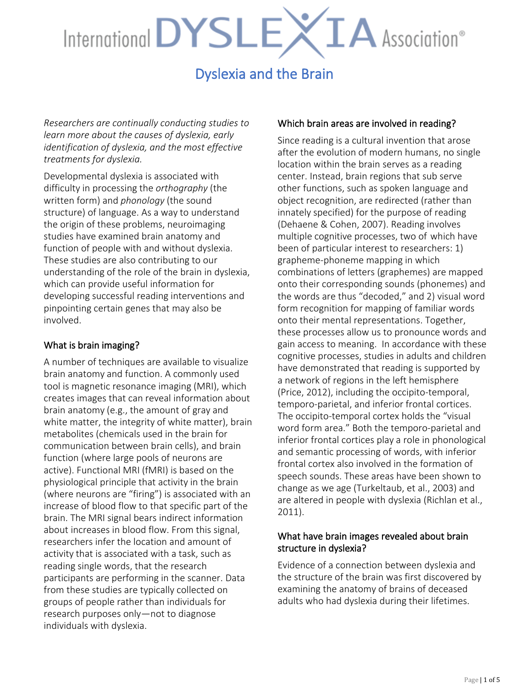### Dyslexia and the Brain

*Researchers are continually conducting studies to learn more about the causes of dyslexia, early identification of dyslexia, and the most effective treatments for dyslexia.* 

Developmental dyslexia is associated with difficulty in processing the *orthography* (the written form) and *phonology* (the sound structure) of language. As a way to understand the origin of these problems, neuroimaging studies have examined brain anatomy and function of people with and without dyslexia. These studies are also contributing to our understanding of the role of the brain in dyslexia, which can provide useful information for developing successful reading interventions and pinpointing certain genes that may also be involved.

#### What is brain imaging?

A number of techniques are available to visualize brain anatomy and function. A commonly used tool is magnetic resonance imaging (MRI), which creates images that can reveal information about brain anatomy (e.g., the amount of gray and white matter, the integrity of white matter), brain metabolites (chemicals used in the brain for communication between brain cells), and brain function (where large pools of neurons are active). Functional MRI (fMRI) is based on the physiological principle that activity in the brain (where neurons are "firing") is associated with an increase of blood flow to that specific part of the brain. The MRI signal bears indirect information about increases in blood flow. From this signal, researchers infer the location and amount of activity that is associated with a task, such as reading single words, that the research participants are performing in the scanner. Data from these studies are typically collected on groups of people rather than individuals for research purposes only—not to diagnose individuals with dyslexia.

#### Which brain areas are involved in reading?

Since reading is a cultural invention that arose after the evolution of modern humans, no single location within the brain serves as a reading center. Instead, brain regions that sub serve other functions, such as spoken language and object recognition, are redirected (rather than innately specified) for the purpose of reading (Dehaene & Cohen, 2007). Reading involves multiple cognitive processes, two of which have been of particular interest to researchers: 1) grapheme-phoneme mapping in which combinations of letters (graphemes) are mapped onto their corresponding sounds (phonemes) and the words are thus "decoded," and 2) visual word form recognition for mapping of familiar words onto their mental representations. Together, these processes allow us to pronounce words and gain access to meaning. In accordance with these cognitive processes, studies in adults and children have demonstrated that reading is supported by a network of regions in the left hemisphere (Price, 2012), including the occipito-temporal, temporo-parietal, and inferior frontal cortices. The occipito-temporal cortex holds the "visual word form area." Both the temporo-parietal and inferior frontal cortices play a role in phonological and semantic processing of words, with inferior frontal cortex also involved in the formation of speech sounds. These areas have been shown to change as we age (Turkeltaub, et al., 2003) and are altered in people with dyslexia (Richlan et al., 2011).

#### What have brain images revealed about brain structure in dyslexia?

Evidence of a connection between dyslexia and the structure of the brain was first discovered by examining the anatomy of brains of deceased adults who had dyslexia during their lifetimes.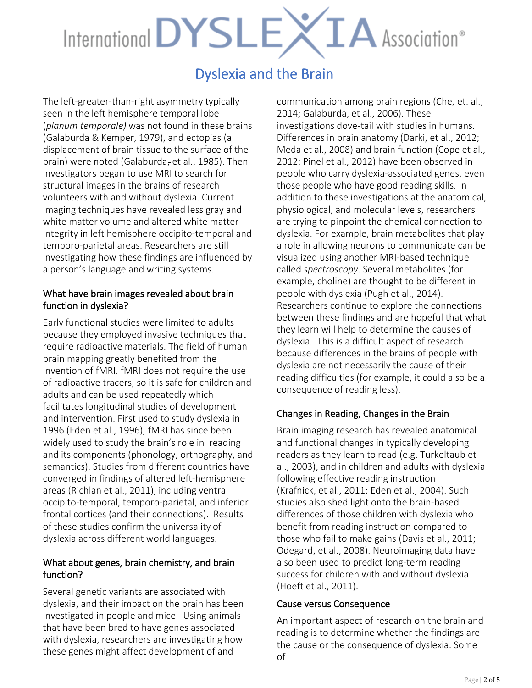### Dyslexia and the Brain

The left-greater-than-right asymmetry typically seen in the left hemisphere temporal lobe (*planum temporale)* was not found in these brains (Galaburda & Kemper, 1979), and ectopias (a displacement of brain tissue to the surface of the brain) were noted (Galaburda, et al., 1985). Then investigators began to use MRI to search for structural images in the brains of research volunteers with and without dyslexia. Current imaging techniques have revealed less gray and white matter volume and altered white matter integrity in left hemisphere occipito-temporal and temporo-parietal areas. Researchers are still investigating how these findings are influenced by a person's language and writing systems.

#### What have brain images revealed about brain function in dyslexia?

Early functional studies were limited to adults because they employed invasive techniques that require radioactive materials. The field of human brain mapping greatly benefited from the invention of fMRI. fMRI does not require the use of radioactive tracers, so it is safe for children and adults and can be used repeatedly which facilitates longitudinal studies of development and intervention. First used to study dyslexia in 1996 (Eden et al., 1996), fMRI has since been widely used to study the brain's role in reading and its components (phonology, orthography, and semantics). Studies from different countries have converged in findings of altered left-hemisphere areas (Richlan et al., 2011), including ventral occipito-temporal, temporo-parietal, and inferior frontal cortices (and their connections). Results of these studies confirm the universality of dyslexia across different world languages.

#### What about genes, brain chemistry, and brain function?

Several genetic variants are associated with dyslexia, and their impact on the brain has been investigated in people and mice. Using animals that have been bred to have genes associated with dyslexia, researchers are investigating how these genes might affect development of and

communication among brain regions (Che, et. al., 2014; Galaburda, et al., 2006). These investigations dove-tail with studies in humans. Differences in brain anatomy (Darki, et al., 2012; Meda et al., 2008) and brain function (Cope et al., 2012; Pinel et al., 2012) have been observed in people who carry dyslexia-associated genes, even those people who have good reading skills. In addition to these investigations at the anatomical, physiological, and molecular levels, researchers are trying to pinpoint the chemical connection to dyslexia. For example, brain metabolites that play a role in allowing neurons to communicate can be visualized using another MRI-based technique called *spectroscopy*. Several metabolites (for example, choline) are thought to be different in people with dyslexia (Pugh et al., 2014). Researchers continue to explore the connections between these findings and are hopeful that what they learn will help to determine the causes of dyslexia. This is a difficult aspect of research because differences in the brains of people with dyslexia are not necessarily the cause of their reading difficulties (for example, it could also be a consequence of reading less).

#### Changes in Reading, Changes in the Brain

Brain imaging research has revealed anatomical and functional changes in typically developing readers as they learn to read (e.g. Turkeltaub et al., 2003), and in children and adults with dyslexia following effective reading instruction (Krafnick, et al., 2011; Eden et al., 2004). Such studies also shed light onto the brain-based differences of those children with dyslexia who benefit from reading instruction compared to those who fail to make gains (Davis et al., 2011; Odegard, et al., 2008). Neuroimaging data have also been used to predict long-term reading success for children with and without dyslexia (Hoeft et al., 2011).

#### Cause versus Consequence

An important aspect of research on the brain and reading is to determine whether the findings are the cause or the consequence of dyslexia. Some of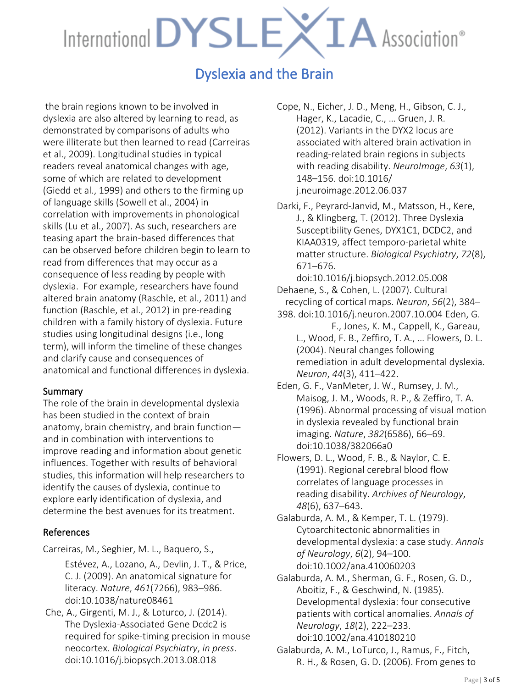## Dyslexia and the Brain

 the brain regions known to be involved in dyslexia are also altered by learning to read, as demonstrated by comparisons of adults who were illiterate but then learned to read (Carreiras et al., 2009). Longitudinal studies in typical readers reveal anatomical changes with age, some of which are related to development (Giedd et al., 1999) and others to the firming up of language skills (Sowell et al., 2004) in correlation with improvements in phonological skills (Lu et al., 2007). As such, researchers are teasing apart the brain-based differences that can be observed before children begin to learn to read from differences that may occur as a consequence of less reading by people with dyslexia. For example, researchers have found altered brain anatomy (Raschle, et al., 2011) and function (Raschle, et al., 2012) in pre-reading children with a family history of dyslexia. Future studies using longitudinal designs (i.e., long term), will inform the timeline of these changes and clarify cause and consequences of anatomical and functional differences in dyslexia.

#### Summary

The role of the brain in developmental dyslexia has been studied in the context of brain anatomy, brain chemistry, and brain function and in combination with interventions to improve reading and information about genetic influences. Together with results of behavioral studies, this information will help researchers to identify the causes of dyslexia, continue to explore early identification of dyslexia, and determine the best avenues for its treatment.

#### References

Carreiras, M., Seghier, M. L., Baquero, S.,

Estévez, A., Lozano, A., Devlin, J. T., & Price, C. J. (2009). An anatomical signature for literacy. *Nature*, *461*(7266), 983–986. doi:10.1038/nature08461

Che, A., Girgenti, M. J., & Loturco, J. (2014). The Dyslexia-Associated Gene Dcdc2 is required for spike-timing precision in mouse neocortex. *Biological Psychiatry*, *in press*. doi:10.1016/j.biopsych.2013.08.018

Cope, N., Eicher, J. D., Meng, H., Gibson, C. J., Hager, K., Lacadie, C., … Gruen, J. R. (2012). Variants in the DYX2 locus are associated with altered brain activation in reading-related brain regions in subjects with reading disability. *NeuroImage*, *63*(1), 148–156. doi:10.1016/ j.neuroimage.2012.06.037

Darki, F., Peyrard-Janvid, M., Matsson, H., Kere, J., & Klingberg, T. (2012). Three Dyslexia Susceptibility Genes, DYX1C1, DCDC2, and KIAA0319, affect temporo-parietal white matter structure. *Biological Psychiatry*, *72*(8), 671–676.

doi:10.1016/j.biopsych.2012.05.008 Dehaene, S., & Cohen, L. (2007). Cultural recycling of cortical maps. *Neuron*, *56*(2), 384– 398. doi:10.1016/j.neuron.2007.10.004 Eden, G.

- F., Jones, K. M., Cappell, K., Gareau, L., Wood, F. B., Zeffiro, T. A., … Flowers, D. L. (2004). Neural changes following remediation in adult developmental dyslexia. *Neuron*, *44*(3), 411–422.
- Eden, G. F., VanMeter, J. W., Rumsey, J. M., Maisog, J. M., Woods, R. P., & Zeffiro, T. A. (1996). Abnormal processing of visual motion in dyslexia revealed by functional brain imaging. *Nature*, *382*(6586), 66–69. doi:10.1038/382066a0

Flowers, D. L., Wood, F. B., & Naylor, C. E. (1991). Regional cerebral blood flow correlates of language processes in reading disability. *Archives of Neurology*, *48*(6), 637–643.

Galaburda, A. M., & Kemper, T. L. (1979). Cytoarchitectonic abnormalities in developmental dyslexia: a case study. *Annals of Neurology*, *6*(2), 94–100. doi:10.1002/ana.410060203

Galaburda, A. M., Sherman, G. F., Rosen, G. D., Aboitiz, F., & Geschwind, N. (1985). Developmental dyslexia: four consecutive patients with cortical anomalies. *Annals of Neurology*, *18*(2), 222–233. doi:10.1002/ana.410180210

Galaburda, A. M., LoTurco, J., Ramus, F., Fitch, R. H., & Rosen, G. D. (2006). From genes to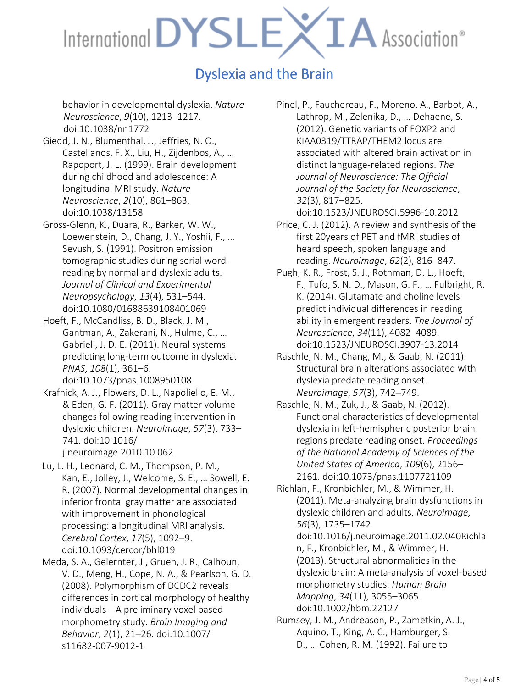## Dyslexia and the Brain

behavior in developmental dyslexia. *Nature Neuroscience*, *9*(10), 1213–1217. doi:10.1038/nn1772

- Giedd, J. N., Blumenthal, J., Jeffries, N. O., Castellanos, F. X., Liu, H., Zijdenbos, A., … Rapoport, J. L. (1999). Brain development during childhood and adolescence: A longitudinal MRI study. *Nature Neuroscience*, *2*(10), 861–863. doi:10.1038/13158
- Gross-Glenn, K., Duara, R., Barker, W. W., Loewenstein, D., Chang, J. Y., Yoshii, F., … Sevush, S. (1991). Positron emission tomographic studies during serial wordreading by normal and dyslexic adults. *Journal of Clinical and Experimental Neuropsychology*, *13*(4), 531–544. doi:10.1080/01688639108401069
- Hoeft, F., McCandliss, B. D., Black, J. M., Gantman, A., Zakerani, N., Hulme, C., … Gabrieli, J. D. E. (2011). Neural systems predicting long-term outcome in dyslexia. *PNAS*, *108*(1), 361–6. doi:10.1073/pnas.1008950108
- Krafnick, A. J., Flowers, D. L., Napoliello, E. M., & Eden, G. F. (2011). Gray matter volume changes following reading intervention in dyslexic children. *NeuroImage*, *57*(3), 733– 741. doi:10.1016/ j.neuroimage.2010.10.062
- Lu, L. H., Leonard, C. M., Thompson, P. M., Kan, E., Jolley, J., Welcome, S. E., … Sowell, E. R. (2007). Normal developmental changes in inferior frontal gray matter are associated with improvement in phonological processing: a longitudinal MRI analysis. *Cerebral Cortex*, *17*(5), 1092–9. doi:10.1093/cercor/bhl019
- Meda, S. A., Gelernter, J., Gruen, J. R., Calhoun, V. D., Meng, H., Cope, N. A., & Pearlson, G. D. (2008). Polymorphism of DCDC2 reveals differences in cortical morphology of healthy individuals—A preliminary voxel based morphometry study. *Brain Imaging and Behavior*, *2*(1), 21–26. doi:10.1007/ s11682-007-9012-1

Pinel, P., Fauchereau, F., Moreno, A., Barbot, A., Lathrop, M., Zelenika, D., … Dehaene, S. (2012). Genetic variants of FOXP2 and KIAA0319/TTRAP/THEM2 locus are associated with altered brain activation in distinct language-related regions. *The Journal of Neuroscience: The Official Journal of the Society for Neuroscience*, *32*(3), 817–825.

doi:10.1523/JNEUROSCI.5996-10.2012

- Price, C. J. (2012). A review and synthesis of the first 20years of PET and fMRI studies of heard speech, spoken language and reading. *Neuroimage*, *62*(2), 816–847.
- Pugh, K. R., Frost, S. J., Rothman, D. L., Hoeft, F., Tufo, S. N. D., Mason, G. F., … Fulbright, R. K. (2014). Glutamate and choline levels predict individual differences in reading ability in emergent readers. *The Journal of Neuroscience*, *34*(11), 4082–4089. doi:10.1523/JNEUROSCI.3907-13.2014
- Raschle, N. M., Chang, M., & Gaab, N. (2011). Structural brain alterations associated with dyslexia predate reading onset. *Neuroimage*, *57*(3), 742–749.
- Raschle, N. M., Zuk, J., & Gaab, N. (2012). Functional characteristics of developmental dyslexia in left-hemispheric posterior brain regions predate reading onset. *Proceedings of the National Academy of Sciences of the United States of America*, *109*(6), 2156– 2161. doi:10.1073/pnas.1107721109

Richlan, F., Kronbichler, M., & Wimmer, H. (2011). Meta-analyzing brain dysfunctions in dyslexic children and adults. *Neuroimage*, *56*(3), 1735–1742. doi:10.1016/j.neuroimage.2011.02.040Richla n, F., Kronbichler, M., & Wimmer, H. (2013). Structural abnormalities in the dyslexic brain: A meta-analysis of voxel-based

morphometry studies. *Human Brain Mapping*, *34*(11), 3055–3065.

doi:10.1002/hbm.22127

Rumsey, J. M., Andreason, P., Zametkin, A. J., Aquino, T., King, A. C., Hamburger, S. D., … Cohen, R. M. (1992). Failure to